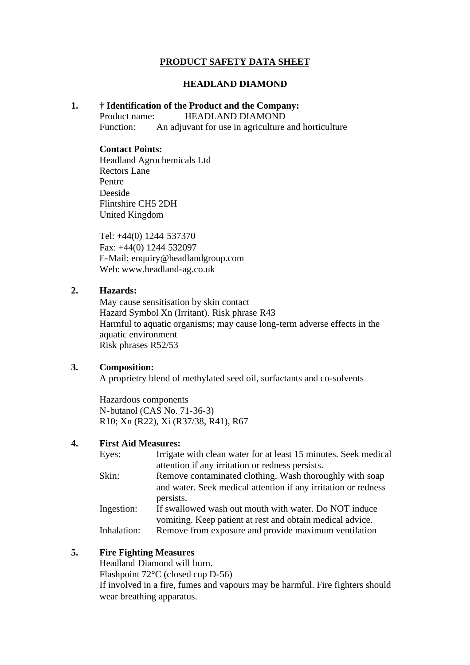## **PRODUCT SAFETY DATA SHEET**

#### **HEADLAND DIAMOND**

#### **1. † Identification of the Product and the Company:**

Product name: HEADLAND DIAMOND

Function: An adjuvant for use in agriculture and horticulture

#### **Contact Points:**

Headland Agrochemicals Ltd Rectors Lane Pentre Deeside Flintshire CH5 2DH United Kingdom

Tel: +44(0) 1244 537370 Fax: +44(0) 1244 532097 E-Mail: enquiry@headlandgroup.com Web: www.headland-ag.co.uk

#### **2. Hazards:**

May cause sensitisation by skin contact Hazard Symbol Xn (Irritant). Risk phrase R43 Harmful to aquatic organisms; may cause long-term adverse effects in the aquatic environment Risk phrases R52/53

#### **3. Composition:**

A proprietry blend of methylated seed oil, surfactants and co-solvents

Hazardous components N-butanol (CAS No. 71-36-3) R10; Xn (R22), Xi (R37/38, R41), R67

## **4. First Aid Measures:**

| Eyes:       | Irrigate with clean water for at least 15 minutes. Seek medical |
|-------------|-----------------------------------------------------------------|
|             | attention if any irritation or redness persists.                |
| Skin:       | Remove contaminated clothing. Wash thoroughly with soap         |
|             | and water. Seek medical attention if any irritation or redness  |
|             | persists.                                                       |
| Ingestion:  | If swallowed wash out mouth with water. Do NOT induce           |
|             | vomiting. Keep patient at rest and obtain medical advice.       |
| Inhalation: | Remove from exposure and provide maximum ventilation            |

## **5. Fire Fighting Measures**

Headland Diamond will burn. Flashpoint 72°C (closed cup D-56) If involved in a fire, fumes and vapours may be harmful. Fire fighters should wear breathing apparatus.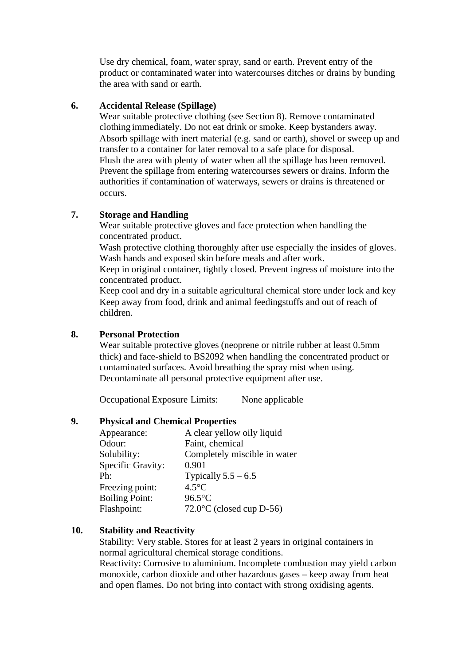Use dry chemical, foam, water spray, sand or earth. Prevent entry of the product or contaminated water into watercourses ditches or drains by bunding the area with sand or earth.

#### **6. Accidental Release (Spillage)**

Wear suitable protective clothing (see Section 8). Remove contaminated clothing immediately. Do not eat drink or smoke. Keep bystanders away. Absorb spillage with inert material (e.g. sand or earth), shovel or sweep up and transfer to a container for later removal to a safe place for disposal. Flush the area with plenty of water when all the spillage has been removed. Prevent the spillage from entering watercourses sewers or drains. Inform the authorities if contamination of waterways, sewers or drains is threatened or occurs.

## **7. Storage and Handling**

Wear suitable protective gloves and face protection when handling the concentrated product.

Wash protective clothing thoroughly after use especially the insides of gloves. Wash hands and exposed skin before meals and after work.

Keep in original container, tightly closed. Prevent ingress of moisture into the concentrated product.

Keep cool and dry in a suitable agricultural chemical store under lock and key Keep away from food, drink and animal feedingstuffs and out of reach of children.

#### **8. Personal Protection**

Wear suitable protective gloves (neoprene or nitrile rubber at least 0.5mm thick) and face-shield to BS2092 when handling the concentrated product or contaminated surfaces. Avoid breathing the spray mist when using. Decontaminate all personal protective equipment after use.

Occupational Exposure Limits: None applicable

#### **9. Physical and Chemical Properties**

| Appearance:           | A clear yellow oily liquid   |
|-----------------------|------------------------------|
| Odour:                | Faint, chemical              |
| Solubility:           | Completely miscible in water |
| Specific Gravity:     | 0.901                        |
| Ph:                   | Typically $5.5 - 6.5$        |
| Freezing point:       | $4.5^{\circ}$ C              |
| <b>Boiling Point:</b> | $96.5^{\circ}$ C             |
| Flashpoint:           | $72.0$ °C (closed cup D-56)  |

## **10. Stability and Reactivity**

Stability: Very stable. Stores for at least 2 years in original containers in normal agricultural chemical storage conditions.

Reactivity: Corrosive to aluminium. Incomplete combustion may yield carbon monoxide, carbon dioxide and other hazardous gases – keep away from heat and open flames. Do not bring into contact with strong oxidising agents.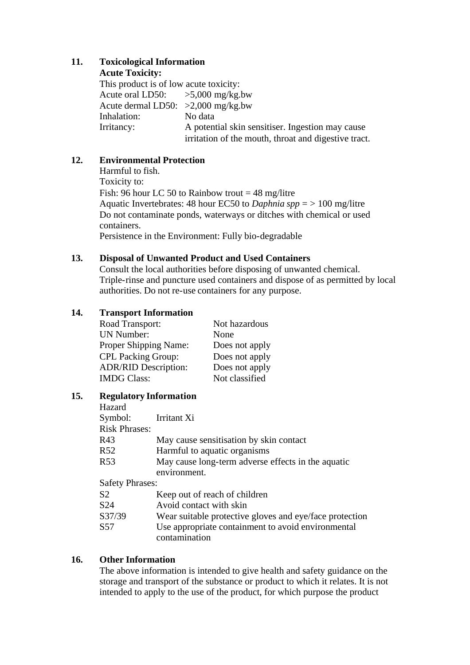# **11. Toxicological Information**

**Acute Toxicity:**

This product is of low acute toxicity: Acute oral LD50:  $>5,000$  mg/kg.bw Acute dermal LD50: >2,000 mg/kg.bw Inhalation: No data Irritancy: A potential skin sensitiser. Ingestion may cause irritation of the mouth, throat and digestive tract.

# **12. Environmental Protection**

Harmful to fish. Toxicity to: Fish: 96 hour LC 50 to Rainbow trout  $=$  48 mg/litre Aquatic Invertebrates: 48 hour EC50 to *Daphnia spp* = > 100 mg/litre Do not contaminate ponds, waterways or ditches with chemical or used containers.

Persistence in the Environment: Fully bio-degradable

## **13. Disposal of Unwanted Product and Used Containers**

Consult the local authorities before disposing of unwanted chemical. Triple-rinse and puncture used containers and dispose of as permitted by local authorities. Do not re-use containers for any purpose.

# **14. Transport Information**

Road Transport: Not hazardous UN Number: None Proper Shipping Name: Does not apply CPL Packing Group: Does not apply ADR/RID Description: Does not apply IMDG Class: Not classified

# **15. Regulatory Information**

| Hazard                 |                                                         |
|------------------------|---------------------------------------------------------|
| Symbol:                | Irritant Xi                                             |
| <b>Risk Phrases:</b>   |                                                         |
| R43                    | May cause sensitisation by skin contact                 |
| R <sub>52</sub>        | Harmful to aquatic organisms                            |
| R <sub>53</sub>        | May cause long-term adverse effects in the aquatic      |
|                        | environment.                                            |
| <b>Safety Phrases:</b> |                                                         |
| S <sub>2</sub>         | Keep out of reach of children                           |
| S <sub>24</sub>        | Avoid contact with skin                                 |
| S37/39                 | Wear suitable protective gloves and eye/face protection |
| S <sub>57</sub>        | Use appropriate containment to avoid environmental      |
|                        | contamination                                           |

# **16. Other Information**

The above information is intended to give health and safety guidance on the storage and transport of the substance or product to which it relates. It is not intended to apply to the use of the product, for which purpose the product